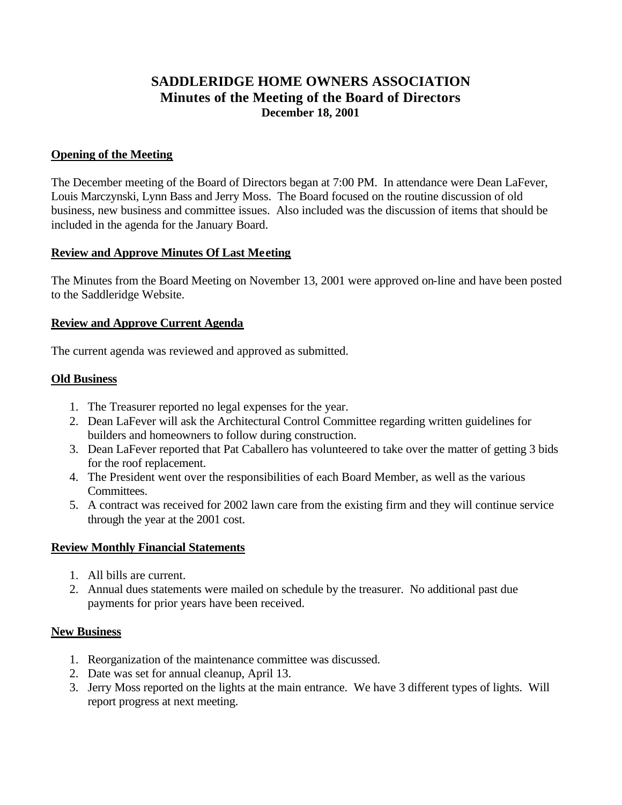# **SADDLERIDGE HOME OWNERS ASSOCIATION Minutes of the Meeting of the Board of Directors December 18, 2001**

#### **Opening of the Meeting**

The December meeting of the Board of Directors began at 7:00 PM. In attendance were Dean LaFever, Louis Marczynski, Lynn Bass and Jerry Moss. The Board focused on the routine discussion of old business, new business and committee issues. Also included was the discussion of items that should be included in the agenda for the January Board.

#### **Review and Approve Minutes Of Last Meeting**

The Minutes from the Board Meeting on November 13, 2001 were approved on-line and have been posted to the Saddleridge Website.

## **Review and Approve Current Agenda**

The current agenda was reviewed and approved as submitted.

## **Old Business**

- 1. The Treasurer reported no legal expenses for the year.
- 2. Dean LaFever will ask the Architectural Control Committee regarding written guidelines for builders and homeowners to follow during construction.
- 3. Dean LaFever reported that Pat Caballero has volunteered to take over the matter of getting 3 bids for the roof replacement.
- 4. The President went over the responsibilities of each Board Member, as well as the various Committees.
- 5. A contract was received for 2002 lawn care from the existing firm and they will continue service through the year at the 2001 cost.

#### **Review Monthly Financial Statements**

- 1. All bills are current.
- 2. Annual dues statements were mailed on schedule by the treasurer. No additional past due payments for prior years have been received.

# **New Business**

- 1. Reorganization of the maintenance committee was discussed.
- 2. Date was set for annual cleanup, April 13.
- 3. Jerry Moss reported on the lights at the main entrance. We have 3 different types of lights. Will report progress at next meeting.